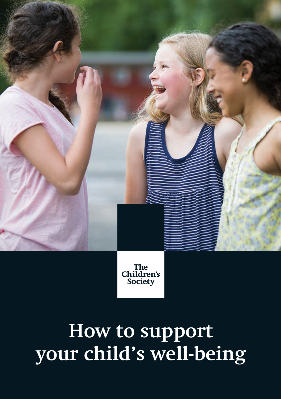The<br>Children's Society

# **How to support your child's well-being**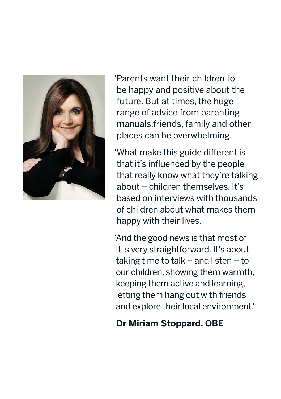

'Parents want their children to be happy and positive about the future. But at times, the huge range of advice from parenting manuals,friends, family and other places can be overwhelming.

'What make this guide different is that it's influenced by the people that really know what they're talking about – children themselves. It's based on interviews with thousands of children about what makes them happy with their lives.

'And the good news is that most of it is very straightforward. It's about taking time to talk – and listen – to our children, showing them warmth, keeping them active and learning, letting them hang out with friends and explore their local environment.'

### **Dr Miriam Stoppard, OBE**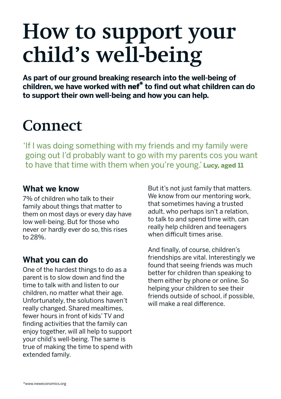# **How to support your child's well-being**

**As part of our ground breaking research into the well-being of children, we have worked with** nef\* **to find out what children can do to support their own well-being and how you can help.** 

### **Connect**

'If I was doing something with my friends and my family were going out I'd probably want to go with my parents cos you want to have that time with them when you're young.' **Lucy, aged 11** 

#### **What we know**

7% of children who talk to their family about things that matter to them on most days or every day have low well-being. But for those who never or hardly ever do so, this rises to 28%.

#### **What you can do**

One of the hardest things to do as a parent is to slow down and find the time to talk with and listen to our children, no matter what their age. Unfortunately, the solutions haven't really changed. Shared mealtimes, fewer hours in front of kids' TV and finding activities that the family can enjoy together, will all help to support your child's well-being. The same is true of making the time to spend with extended family.

But it's not just family that matters. We know from our mentoring work. that sometimes having a trusted adult, who perhaps isn't a relation, to talk to and spend time with, can really help children and teenagers when difficult times arise.

And finally, of course, children's friendships are vital. Interestingly we found that seeing friends was much better for children than speaking to them either by phone or online. So helping your children to see their friends outside of school, if possible, will make a real difference.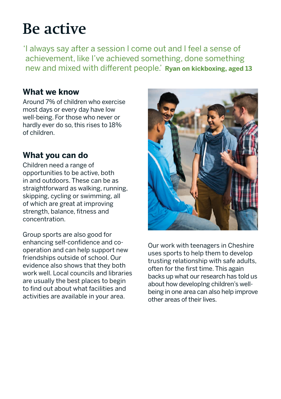### **Be active**

'I always say after a session I come out and I feel a sense of achievement, like I've achieved something, done something new and mixed with different people.' **Ryan on kickboxing, aged 13**

### **What we know**

Around 7% of children who exercise most days or every day have low well-being. For those who never or hardly ever do so, this rises to 18% of children.

### **What you can do**

Children need a range of opportunities to be active, both in and outdoors. These can be as straightforward as walking, running, skipping, cycling or swimming, all of which are great at improving strength, balance, fitness and concentration.

Group sports are also good for enhancing self-confidence and cooperation and can help support new friendships outside of school. Our evidence also shows that they both work well. Local councils and libraries are usually the best places to begin to find out about what facilities and activities are available in your area.



Our work with teenagers in Cheshire uses sports to help them to develop trusting relationship with safe adults, often for the first time. This again backs up what our research has told us about how developIng children's wellbeing in one area can also help improve other areas of their lives.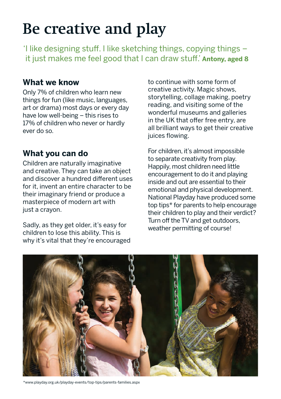### **Be creative and play**

'I like designing stuff. I like sketching things, copying things – it just makes me feel good that I can draw stuff.' **Antony, aged 8**

### **What we know**

Only 7% of children who learn new things for fun (like music, languages, art or drama) most days or every day have low well-being – this rises to 17% of children who never or hardly ever do so.

### **What you can do**

Children are naturally imaginative and creative. They can take an object and discover a hundred different uses for it, invent an entire character to be their imaginary friend or produce a masterpiece of modern art with just a crayon.

Sadly, as they get older, it's easy for children to lose this ability. This is why it's vital that they're encouraged to continue with some form of creative activity. Magic shows, storytelling, collage making, poetry reading, and visiting some of the wonderful museums and galleries in the UK that offer free entry, are all brilliant ways to get their creative juices flowing.

For children, it's almost impossible to separate creativity from play. Happily, most children need little encouragement to do it and playing inside and out are essential to their emotional and physical development. National Playday have produced some top tips\* for parents to help encourage their children to play and their verdict? Turn off the TV and get outdoors, weather permitting of course!



\*www.playday.org.uk/playday-events/top-tips/parents-families.aspx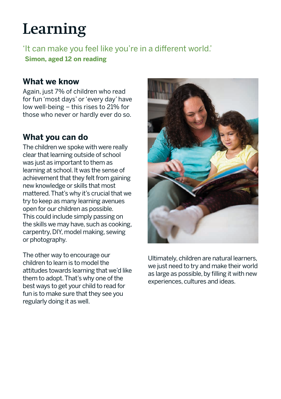### **Learning**

'It can make you feel like you're in a different world.' **Simon, aged 12 on reading**

#### **What we know**

Again, just 7% of children who read for fun 'most days' or 'every day' have low well-being – this rises to 21% for those who never or hardly ever do so.

### **What you can do**

The children we spoke with were really clear that learning outside of school was just as important to them as learning at school. It was the sense of achievement that they felt from gaining new knowledge or skills that most mattered. That's why it's crucial that we try to keep as many learning avenues open for our children as possible. This could include simply passing on the skills we may have, such as cooking, carpentry, DIY, model making, sewing or photography.

The other way to encourage our children to learn is to model the attitudes towards learning that we'd like them to adopt. That's why one of the best ways to get your child to read for fun is to make sure that they see you regularly doing it as well.



Ultimately, children are natural learners, we just need to try and make their world as large as possible, by filling it with new experiences, cultures and ideas.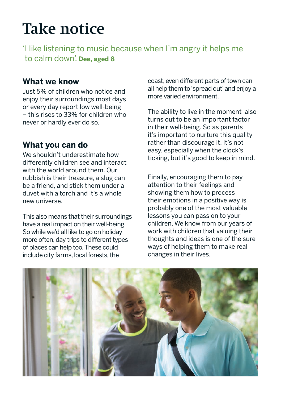### **Take notice**

'I like listening to music because when I'm angry it helps me to calm down'. **Dee, aged 8**

#### **What we know**

Just 5% of children who notice and enjoy their surroundings most days or every day report low well-being – this rises to 33% for children who never or hardly ever do so.

#### **What you can do**

We shouldn't underestimate how differently children see and interact with the world around them. Our rubbish is their treasure, a slug can be a friend, and stick them under a duvet with a torch and it's a whole new universe.

This also means that their surroundings have a real impact on their well-being. So while we'd all like to go on holiday more often, day trips to different types of places can help too. These could include city farms, local forests, the

coast, even different parts of town can all help them to 'spread out' and enjoy a more varied environment.

The ability to live in the moment also turns out to be an important factor in their well-being. So as parents it's important to nurture this quality rather than discourage it. It's not easy, especially when the clock's ticking, but it's good to keep in mind.

Finally, encouraging them to pay attention to their feelings and showing them how to process their emotions in a positive way is probably one of the most valuable lessons you can pass on to your children. We know from our years of work with children that valuing their thoughts and ideas is one of the sure ways of helping them to make real changes in their lives.